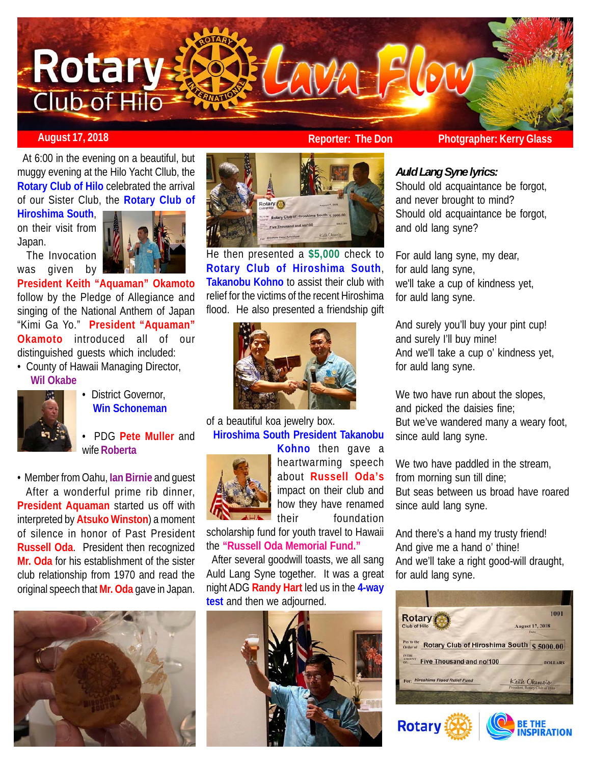## AVALFLOW **Rotary.** Club-of Hilo

 At 6:00 in the evening on a beautiful, but muggy evening at the Hilo Yacht Cllub, the **Rotary Club of Hilo** celebrated the arrival of our Sister Club, the **Rotary Club of**

**Hiroshima South**, on their visit from Japan.

 The Invocation was given by



**President Keith "Aquaman" Okamoto** follow by the Pledge of Allegiance and singing of the National Anthem of Japan "Kimi Ga Yo." **President "Aquaman" Okamoto** introduced all of our distinguished guests which included:

• County of Hawaii Managing Director,  **Wil Okabe**



- District Governor,  **Win Schoneman**
- PDG **Pete Muller** and wife **Roberta**

• Member from Oahu, **Ian Birnie** and guest After a wonderful prime rib dinner, **President Aquaman** started us off with interpreted by **Atsuko Winston**) a moment of silence in honor of Past President **Russell Oda**. President then recognized **Mr. Oda** for his establishment of the sister club relationship from 1970 and read the original speech that **Mr. Oda** gave in Japan.





He then presented a **\$5,000** check to **Rotary Club of Hiroshima South**, **Takanobu Kohno** to assist their club with relief for the victims of the recent Hiroshima flood. He also presented a friendship gift



of a beautiful koa jewelry box. **Hiroshima South President Takanobu**



**Kohno** then gave a heartwarming speech about **Russell Oda's** impact on their club and how they have renamed their foundation

scholarship fund for youth travel to Hawaii the **"Russell Oda Memorial Fund."**

 After several goodwill toasts, we all sang Auld Lang Syne together. It was a great night ADG **Randy Hart** led us in the **4-way test** and then we adjourned.



**August 17, 2018 Reporter: The Don Photgrapher: Kerry Glass**

## *Auld Lang Syne lyrics:*

Should old acquaintance be forgot, and never brought to mind? Should old acquaintance be forgot, and old lang syne?

For auld lang syne, my dear, for auld lang syne, we'll take a cup of kindness yet, for auld lang syne.

And surely you'll buy your pint cup! and surely I'll buy mine! And we'll take a cup o' kindness yet, for auld lang syne.

We two have run about the slopes, and picked the daisies fine; But we've wandered many a weary foot, since auld lang syne.

We two have paddled in the stream, from morning sun till dine; But seas between us broad have roared since auld lang syne.

And there's a hand my trusty friend! And give me a hand o' thine! And we'll take a right good-will draught, for auld lang syne.

| <b>Rotary</b><br><b>Club of Hilo</b>                                                                                             | 1001<br><b>August 17, 2018</b><br>Date          |
|----------------------------------------------------------------------------------------------------------------------------------|-------------------------------------------------|
| Pay to the<br>Rotary Club of Hiroshima South \$ 5000.00<br>Order of<br><b>IN THE</b><br>AMOUNT<br>Five Thousand and no/100<br>OF | <b>DOLLARS</b>                                  |
| For: Hiroshima Flood Relief Fund                                                                                                 | Keith Okamoto<br>President, Rotary Club of Hilo |